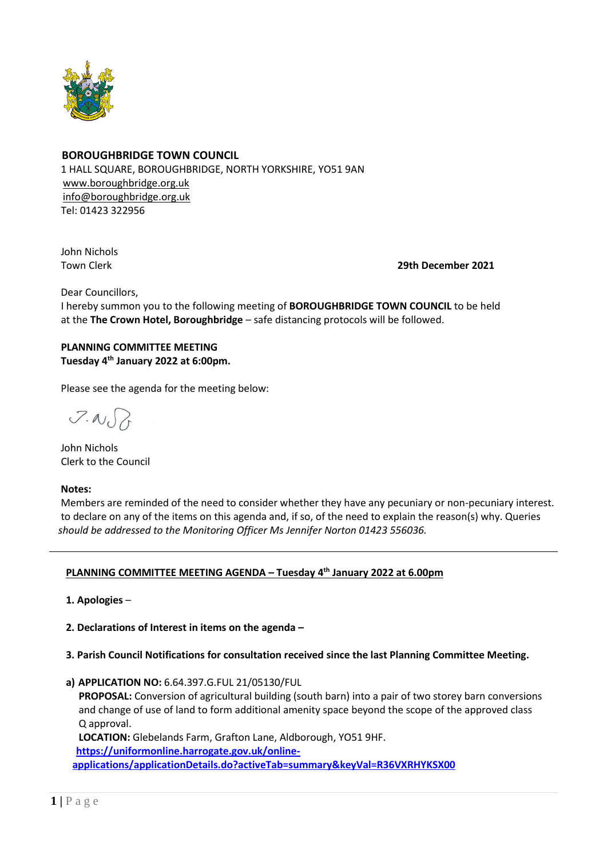

## **BOROUGHBRIDGE TOWN COUNCIL**

 1 HALL SQUARE, BOROUGHBRIDGE, NORTH YORKSHIRE, YO51 9AN [www.boroughbridge.org.uk](http://www.boroughbridge.org.uk/) [info@boroughbridge.org.uk](mailto:info@boroughbridge.org.uk) Tel: 01423 322956

John Nichols

Town Clerk **29th December 2021**

Dear Councillors,

 I hereby summon you to the following meeting of **BOROUGHBRIDGE TOWN COUNCIL** to be held at the **The Crown Hotel, Boroughbridge** – safe distancing protocols will be followed.

# **PLANNING COMMITTEE MEETING Tuesday 4 th January 2022 at 6:00pm.**

Please see the agenda for the meeting below:

 $7.007$ 

 John Nichols Clerk to the Council

#### **Notes:**

 Members are reminded of the need to consider whether they have any pecuniary or non-pecuniary interest. to declare on any of the items on this agenda and, if so, of the need to explain the reason(s) why. Queries  *should be addressed to the Monitoring Officer Ms Jennifer Norton 01423 556036.* 

# **PLANNING COMMITTEE MEETING AGENDA – Tuesday 4 th January 2022 at 6.00pm**

 **1. Apologies** –

 **2. Declarations of Interest in items on the agenda –**

- **3. Parish Council Notifications for consultation received since the last Planning Committee Meeting.**
- **a) APPLICATION NO:** 6.64.397.G.FUL 21/05130/FUL

 **PROPOSAL:** Conversion of agricultural building (south barn) into a pair of two storey barn conversions and change of use of land to form additional amenity space beyond the scope of the approved class Q approval.

 **LOCATION:** Glebelands Farm, Grafton Lane, Aldborough, YO51 9HF.  **[https://uniformonline.harrogate.gov.uk/online](https://uniformonline.harrogate.gov.uk/online-applications/applicationDetails.do?activeTab=summary&keyVal=R36VXRHYKSX00)[applications/applicationDetails.do?activeTab=summary&keyVal=R36VXRHYKSX00](https://uniformonline.harrogate.gov.uk/online-applications/applicationDetails.do?activeTab=summary&keyVal=R36VXRHYKSX00)**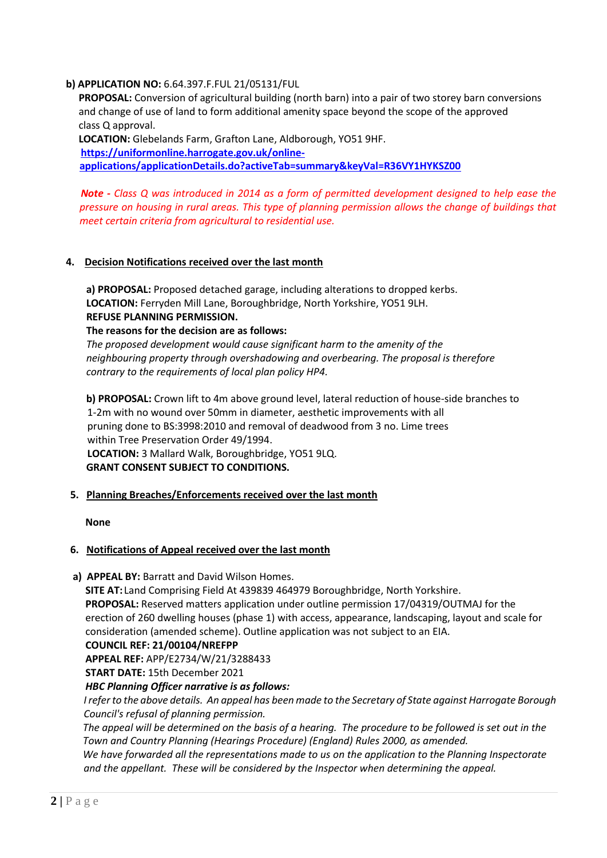## **b) APPLICATION NO:** 6.64.397.F.FUL 21/05131/FUL

 **PROPOSAL:** Conversion of agricultural building (north barn) into a pair of two storey barn conversions and change of use of land to form additional amenity space beyond the scope of the approved class Q approval.

 **LOCATION:** Glebelands Farm, Grafton Lane, Aldborough, YO51 9HF.  **[https://uniformonline.harrogate.gov.uk/online](https://uniformonline.harrogate.gov.uk/online-applications/applicationDetails.do?activeTab=summary&keyVal=R36VY1HYKSZ00)[applications/applicationDetails.do?activeTab=summary&keyVal=R36VY1HYKSZ00](https://uniformonline.harrogate.gov.uk/online-applications/applicationDetails.do?activeTab=summary&keyVal=R36VY1HYKSZ00)**

*Note - Class Q was introduced in 2014 as a form of permitted development designed to help ease the pressure on housing in rural areas. This type of planning permission allows the change of buildings that meet certain criteria from agricultural to residential use.*

### **4. Decision Notifications received over the last month**

 **a) PROPOSAL:** Proposed detached garage, including alterations to dropped kerbs.  **LOCATION:** Ferryden Mill Lane, Boroughbridge, North Yorkshire, YO51 9LH.  **REFUSE PLANNING PERMISSION.**

 **The reasons for the decision are as follows:**

*The proposed development would cause significant harm to the amenity of the neighbouring property through overshadowing and overbearing. The proposal is therefore contrary to the requirements of local plan policy HP4.*

 **b) PROPOSAL:** Crown lift to 4m above ground level, lateral reduction of house-side branches to 1-2m with no wound over 50mm in diameter, aesthetic improvements with all pruning done to BS:3998:2010 and removal of deadwood from 3 no. Lime trees within Tree Preservation Order 49/1994. **LOCATION:** 3 Mallard Walk, Boroughbridge, YO51 9LQ.  **GRANT CONSENT SUBJECT TO CONDITIONS.** 

**5. Planning Breaches/Enforcements received over the last month**

 **None**

#### **6. Notifications of Appeal received over the last month**

 **a) APPEAL BY:** Barratt and David Wilson Homes.

 **SITE AT:** Land Comprising Field At 439839 464979 Boroughbridge, North Yorkshire.  **PROPOSAL:** Reserved matters application under outline permission 17/04319/OUTMAJ for the erection of 260 dwelling houses (phase 1) with access, appearance, landscaping, layout and scale for consideration (amended scheme). Outline application was not subject to an EIA.  **COUNCIL REF: 21/00104/NREFPP**

 **APPEAL REF:** APP/E2734/W/21/3288433

 **START DATE:** 15th December 2021

 *HBC Planning Officer narrative is as follows:*

 *I refer to the above details. An appeal has been made to the Secretary of State against Harrogate Borough Council's refusal of planning permission.*

 *The appeal will be determined on the basis of a hearing. The procedure to be followed is set out in the Town and Country Planning (Hearings Procedure) (England) Rules 2000, as amended.*

 *We have forwarded all the representations made to us on the application to the Planning Inspectorate and the appellant. These will be considered by the Inspector when determining the appeal.*